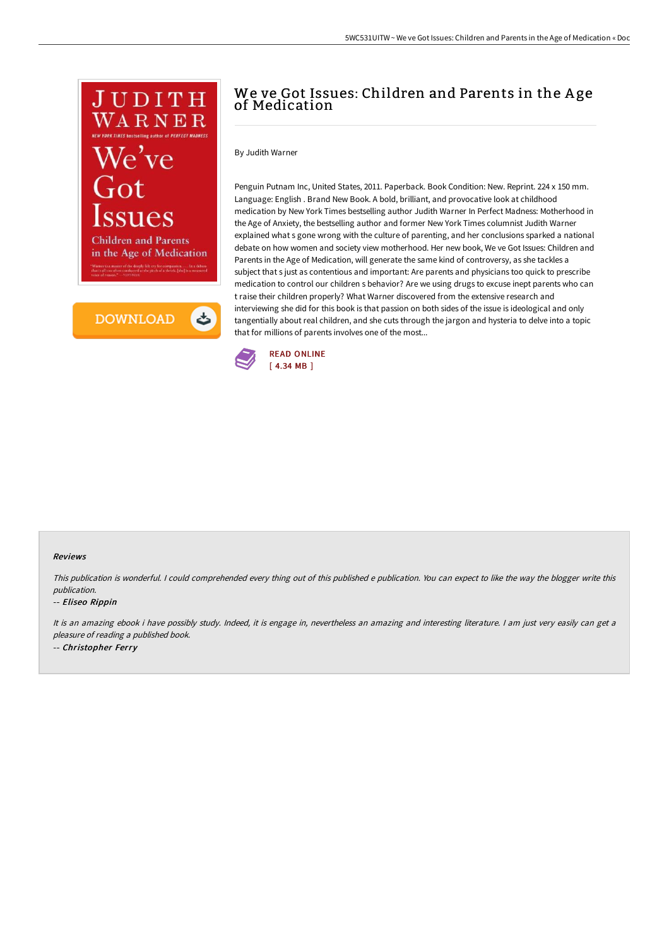

త **DOWNLOAD** 

# We ve Got Issues: Children and Parents in the A ge of Medication

By Judith Warner

Penguin Putnam Inc, United States, 2011. Paperback. Book Condition: New. Reprint. 224 x 150 mm. Language: English . Brand New Book. A bold, brilliant, and provocative look at childhood medication by New York Times bestselling author Judith Warner In Perfect Madness: Motherhood in the Age of Anxiety, the bestselling author and former New York Times columnist Judith Warner explained what s gone wrong with the culture of parenting, and her conclusions sparked a national debate on how women and society view motherhood. Her new book, We ve Got Issues: Children and Parents in the Age of Medication, will generate the same kind of controversy, as she tackles a subject that s just as contentious and important: Are parents and physicians too quick to prescribe medication to control our children s behavior? Are we using drugs to excuse inept parents who can t raise their children properly? What Warner discovered from the extensive research and interviewing she did for this book is that passion on both sides of the issue is ideological and only tangentially about real children, and she cuts through the jargon and hysteria to delve into a topic that for millions of parents involves one of the most...



### Reviews

This publication is wonderful. <sup>I</sup> could comprehended every thing out of this published <sup>e</sup> publication. You can expect to like the way the blogger write this publication.

### -- Eliseo Rippin

It is an amazing ebook i have possibly study. Indeed, it is engage in, nevertheless an amazing and interesting literature. I am just very easily can get a pleasure of reading <sup>a</sup> published book. -- Christopher Ferry